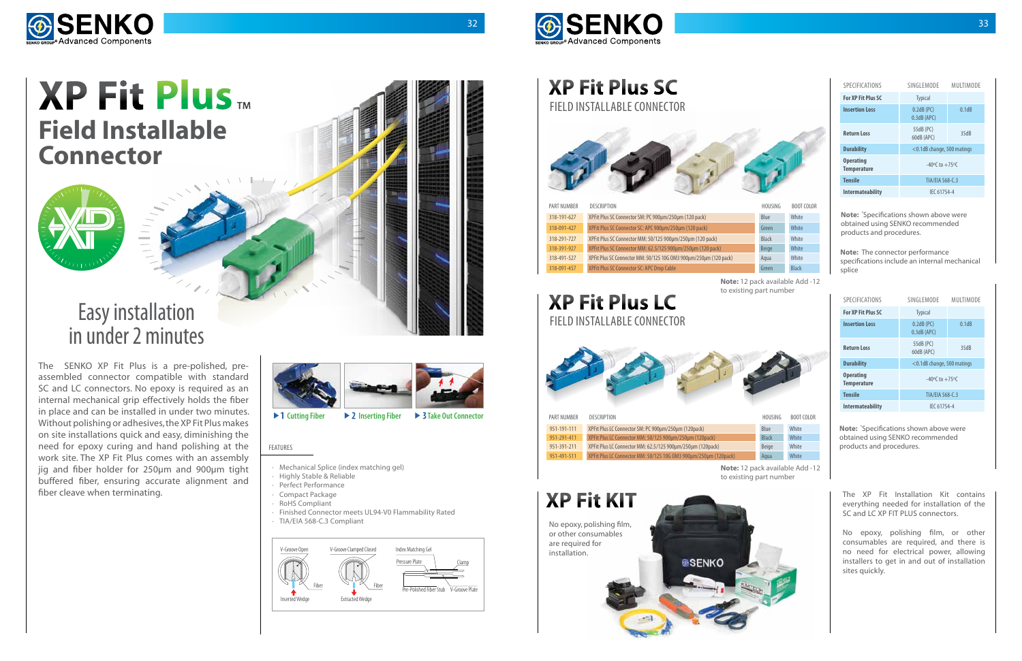

# **XP Fit Plus LC**

| SPECIFICATIONS                         | SINGLEMODE                         | MULTIMODE |
|----------------------------------------|------------------------------------|-----------|
| <b>For XP Fit Plus SC</b>              | <b>Typical</b>                     |           |
| <b>Insertion Loss</b>                  | $0.2dB$ (PC)<br>$0.3dB$ (APC)      | 0.1dB     |
| <b>Return Loss</b>                     | 55dB (PC)<br>60dB (APC)            | 35dB      |
| <b>Durability</b>                      | <0.1dB change, 500 matings         |           |
| <b>Operating</b><br><b>Temperature</b> | $-40^{\circ}$ C to $+75^{\circ}$ C |           |
| <b>Tensile</b>                         | TIA/EIA 568-C.3                    |           |
| <b>Intermateability</b>                | IEC 61754-4                        |           |

| <b>SPECIFICATIONS</b>                  | SINGI FMODE                        | MULTIMODE |
|----------------------------------------|------------------------------------|-----------|
| For XP Fit Plus SC                     | <b>Typical</b>                     |           |
| <b>Insertion Loss</b>                  | $0.2dB$ (PC)<br>$0.3dB$ (APC)      | 0.1dB     |
| <b>Return Loss</b>                     | 55dB (PC)<br>60dB (APC)            | 35dB      |
| <b>Durability</b>                      | <0.1dB change, 500 matings         |           |
| <b>Operating</b><br><b>Temperature</b> | $-40^{\circ}$ C to $+75^{\circ}$ C |           |
| <b>Tensile</b>                         | TIA/EIA 568-C.3                    |           |
| <b>Intermateability</b>                | IEC 61754-4                        |           |





# **XP Fit Plus Field Installable Connector**

## **XP Fit Plus SC** Field Installable Connector



# Figure Connection **Figure 2 Figure 2 Figure 2 FIGURE CONNECTOR EXPRESS EXPRESS EXPRESS EXPRESS EXPRESS EXPRESS EXPRESS EXPRESS EXPRESS EXPRESS EXPRESS EXPRESS EXPRESS EXPRESS EXPRESS E** in under 2 minutes

The SENKO XP Fit Plus is a pre-polished, preassembled connector compatible with standard SC and LC connectors. No epoxy is required as an internal mechanical grip effectively holds the fiber in place and can be installed in under two minutes. Without polishing or adhesives, the XP Fit Plus makes on site installations quick and easy, diminishing the need for epoxy curing and hand polishing at the work site. The XP Fit Plus comes with an assembly jig and fiber holder for 250µm and 900µm tight buffered fiber, ensuring accurate alignment and

everything needed for installation of the SC and LC XP FIT PLUS connectors.

No epoxy, polishing film, or other consumables are required, and there is no need for electrical power, allowing installers to get in and out of installation sites quickly.



| PART NUMBER | <b>DESCRIPTION</b>                                                | HOUSING      | <b>BOOT COLOR</b> |
|-------------|-------------------------------------------------------------------|--------------|-------------------|
| 318-191-627 | XPFit Plus SC Connector SM: PC 900um/250um (120 pack)             | Blue         | White             |
| 318-091-427 | XPFit Plus SC Connector SC: APC 900um/250um (120 pack)            | Green        | White             |
| 318-291-727 | XPFit Plus SC Connector MM: 50/125 900µm/250µm (120 pack)         | <b>Black</b> | White             |
| 318-391-927 | XPFit Plus SC Connector MM: 62.5/125 900um/250um (120 pack)       | <b>Beige</b> | White             |
| 318-491-527 | XPFit Plus SC Connector MM: 50/125 10G 0M3 900um/250um (120 pack) | Agua         | White             |
| 318-091-457 | <b>XPFit Plus SC Connector SC: APC Drop Cable</b>                 | Green        | <b>Black</b>      |



| HOUSING      | BOOT COLOR   |
|--------------|--------------|
| Blue         | White        |
| Green        | White        |
| <b>Black</b> | White        |
| Beige        | White        |
| Aqua         | White        |
| Green        | <b>Black</b> |

**Note:** \* Specifications shown above were obtained using SENKO recommended products and procedures.

**Note:** \* Specifications shown above were obtained using SENKO recommended products and procedures.



**Note:** The connector performance specifications include an internal mechanical splice

**Note:** 12 pack available Add -12 to existing part number

| Blue         | White |
|--------------|-------|
| <b>Black</b> | White |
| <b>Beige</b> | White |
| Aaua         | White |

**Note:** 12 pack available Add -12 to existing part number

- · Mechanical Splice (index matching gel)
- · Highly Stable & Reliable
- Perfect Performance
- Compact Package
- **RoHS Compliant**
- · Finished Connector meets UL94-V0 Flammability Rated
- · TIA/EIA 568-C.3 Compliant

### FEATURES